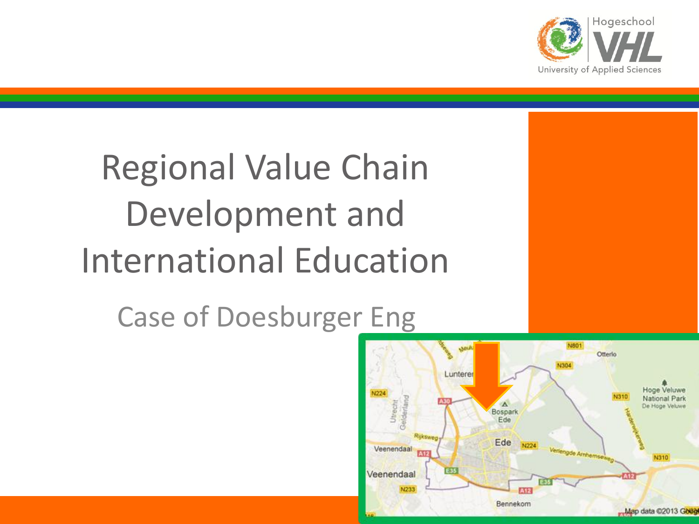

# Regional Value Chain Development and International Education

## Case of Doesburger Eng

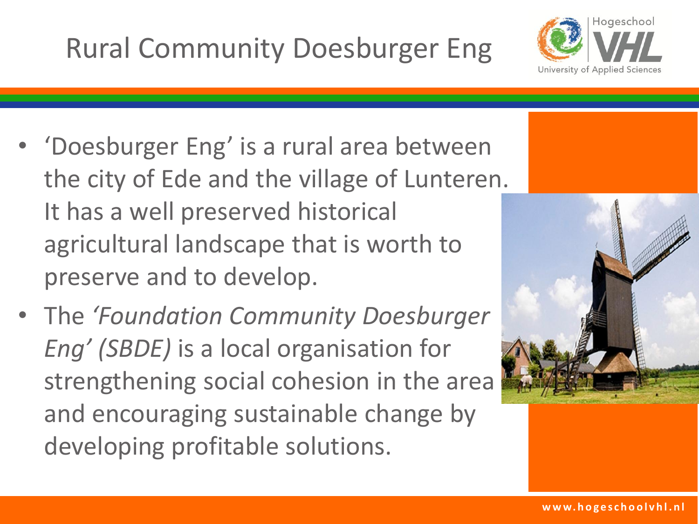# Rural Community Doesburger Eng



- 'Doesburger Eng' is a rural area between the city of Ede and the village of Lunteren. It has a well preserved historical agricultural landscape that is worth to preserve and to develop.
- The *'Foundation Community Doesburger Eng' (SBDE)* is a local organisation for strengthening social cohesion in the area and encouraging sustainable change by developing profitable solutions.

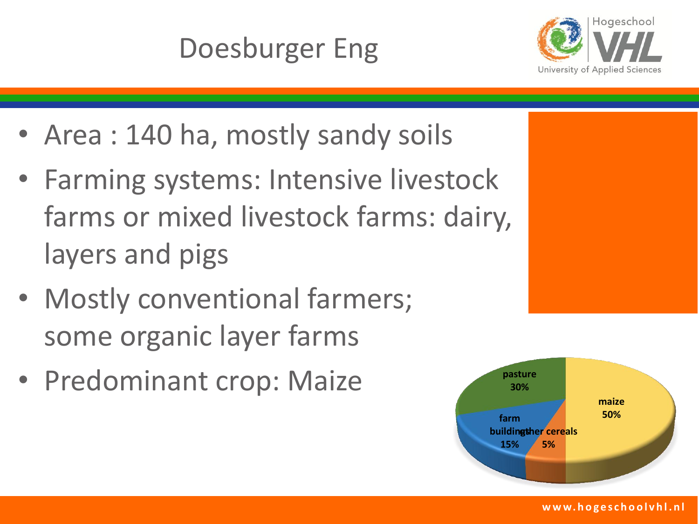# Doesburger Eng



- Area : 140 ha, mostly sandy soils
- Farming systems: Intensive livestock farms or mixed livestock farms: dairy, layers and pigs
- Mostly conventional farmers; some organic layer farms
- Predominant crop: Maize

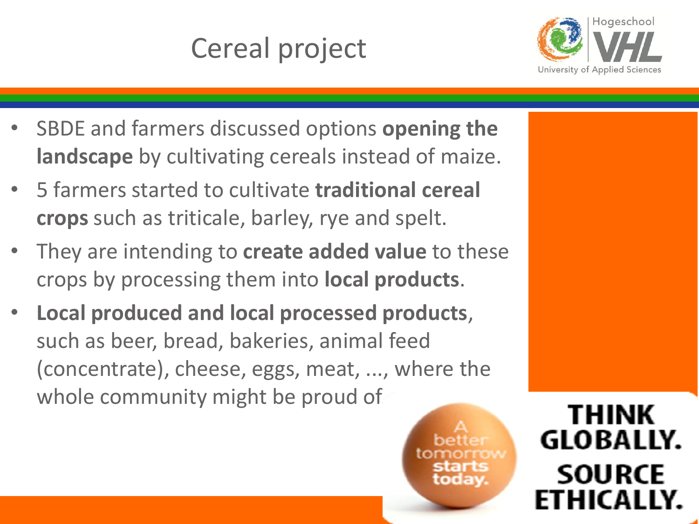# Cereal project



- SBDE and farmers discussed options **opening the landscape** by cultivating cereals instead of maize.
- 5 farmers started to cultivate **traditional cereal crops** such as triticale, barley, rye and spelt.
- They are intending to **create added value** to these crops by processing them into **local products**.
- **Local produced and local processed products**, such as beer, bread, bakeries, animal feed (concentrate), cheese, eggs, meat, ..., where the whole community might be proud of

THINK **GLOBALLY. SOURCE**  $\mathbf{E}\mathbf{H}\mathbf{H}$  . It is not a large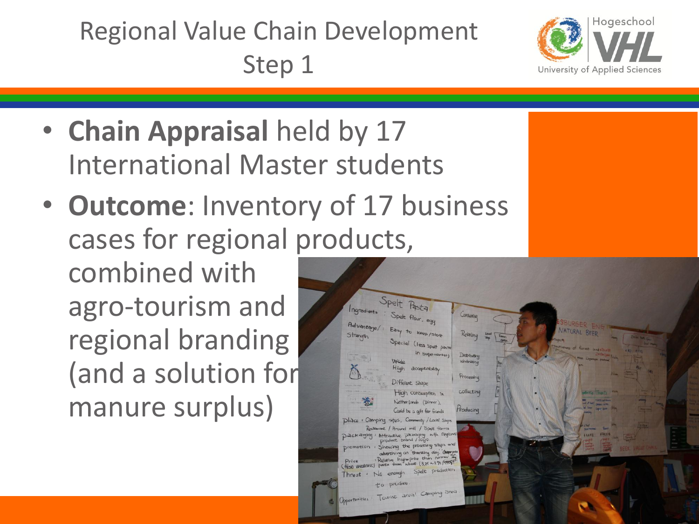# Regional Value Chain Development Step 1



- **Chain Appraisal** held by 17 International Master students
- **Outcome**: Inventory of 17 business cases for regional products,

combined with agro-tourism and regional branding (and a solution for manure surplus)

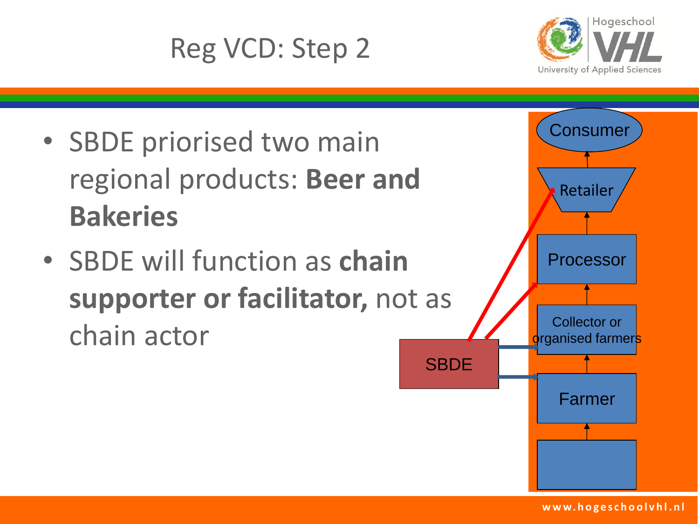

Farmer • SBDE priorised two main regional products: **Beer and Bakeries**  • SBDE will function as **chain supporter or facilitator,** not as chain actor Collector or organised farmers Retailer **Consumer** Processor **SBDF**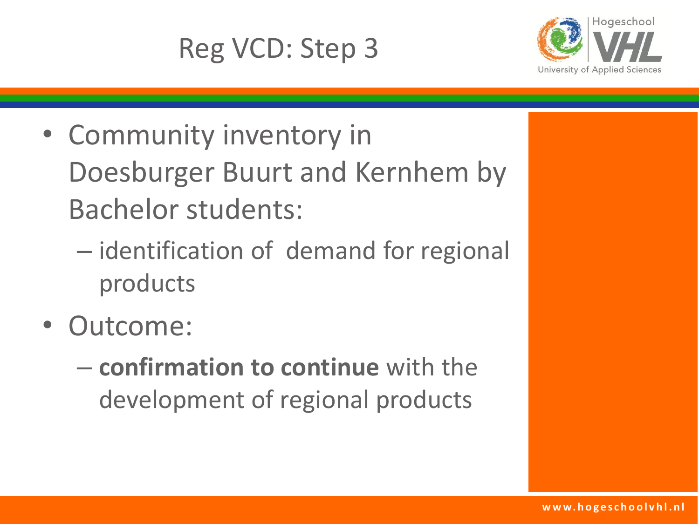

- Community inventory in Doesburger Buurt and Kernhem by Bachelor students:
	- identification of demand for regional products
- Outcome:
	- **confirmation to continue** with the development of regional products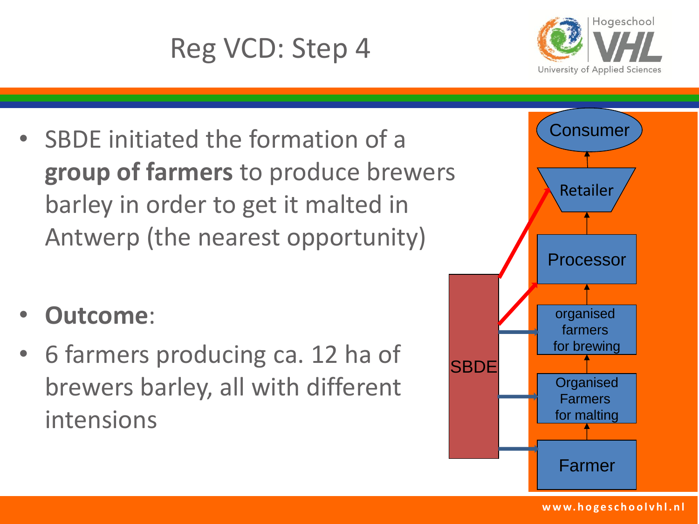

- SBDE initiated the formation of a **group of farmers** to produce brewers barley in order to get it malted in Antwerp (the nearest opportunity)
- **Outcome**:
- 6 farmers producing ca. 12 ha of brewers barley, all with different intensions

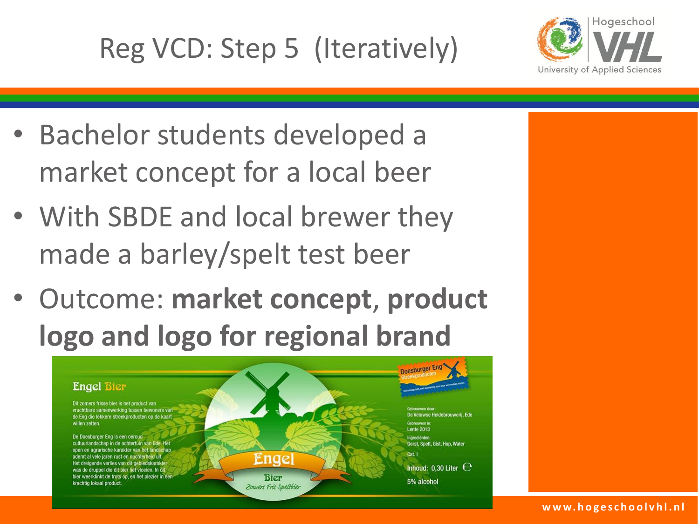# Reg VCD: Step 5 (Iteratively)



- Bachelor students developed a market concept for a local beer
- With SBDE and local brewer they made a barley/spelt test beer
- Outcome: **market concept**, **product logo and logo for regional brand**

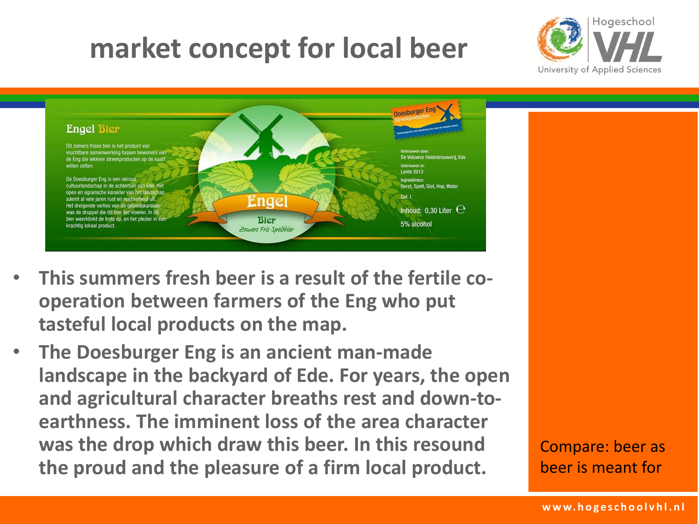## **market concept for local beer**





- **This summers fresh beer is a result of the fertile cooperation between farmers of the Eng who put tasteful local products on the map.**
- **The Doesburger Eng is an ancient man-made landscape in the backyard of Ede. For years, the open and agricultural character breaths rest and down-toearthness. The imminent loss of the area character was the drop which draw this beer. In this resound the proud and the pleasure of a firm local product.**

Compare: beer as beer is meant for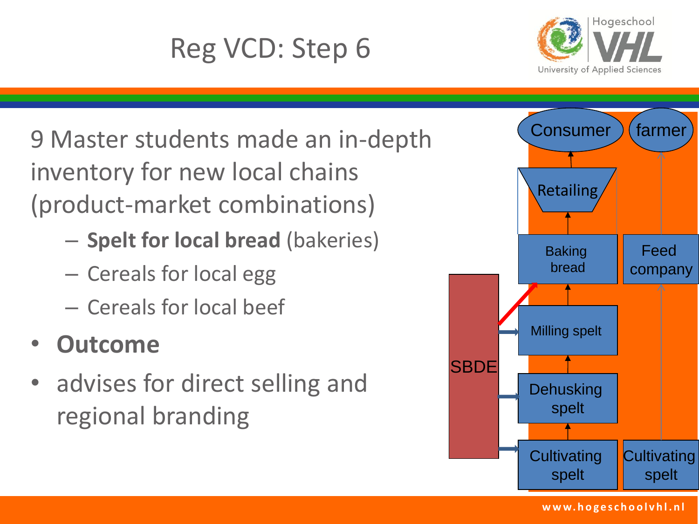

9 Master students made an in-depth inventory for new local chains (product-market combinations)

- **Spelt for local bread** (bakeries)
- Cereals for local egg
- Cereals for local beef
- **Outcome**
- advises for direct selling and regional branding

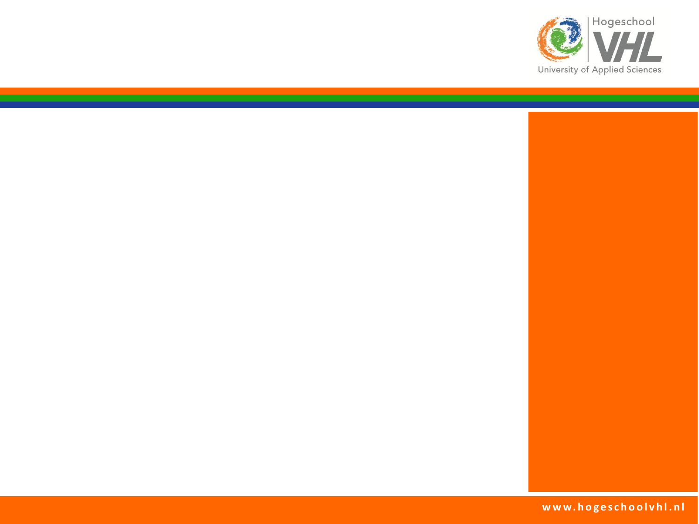

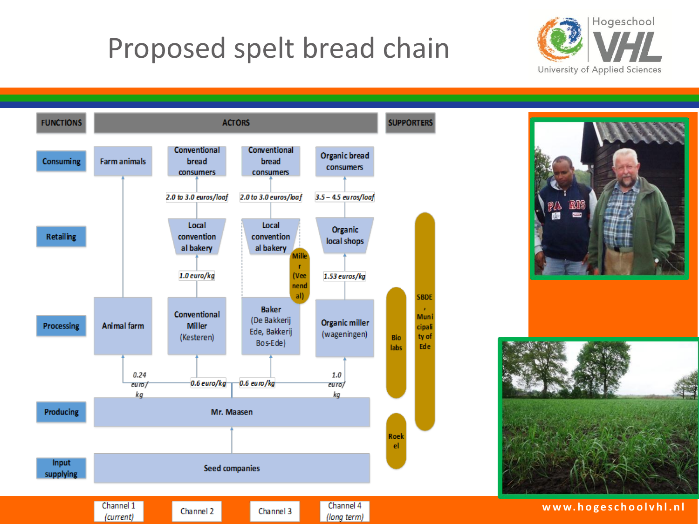## Proposed spelt bread chain



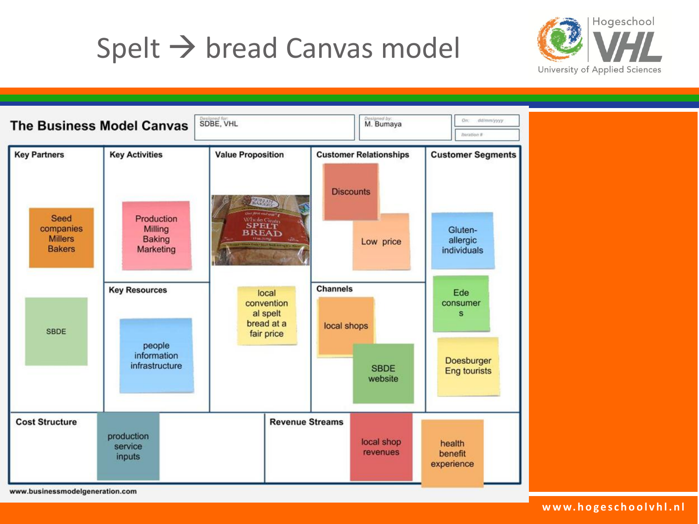# $Spelt \rightarrow bread$  Canvas model





www.businessmodelgeneration.com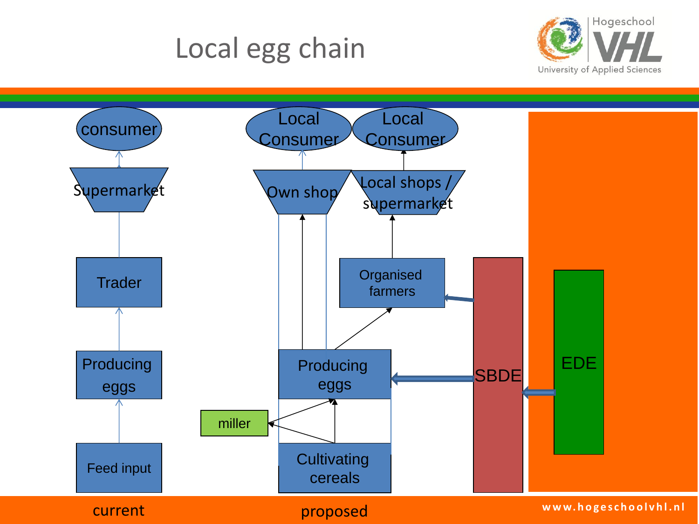#### Local egg chain



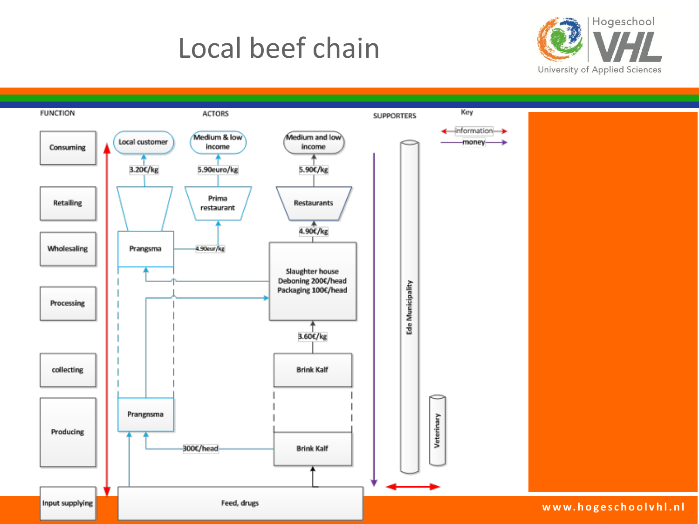#### Local beef chain



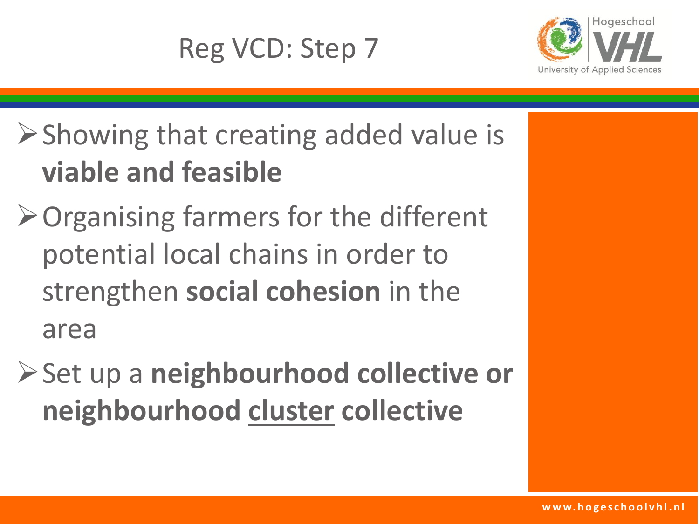

# $\triangleright$  Showing that creating added value is **viable and feasible**

- **≻Organising farmers for the different** potential local chains in order to strengthen **social cohesion** in the area
- **≻Set up a neighbourhood collective or neighbourhood cluster collective**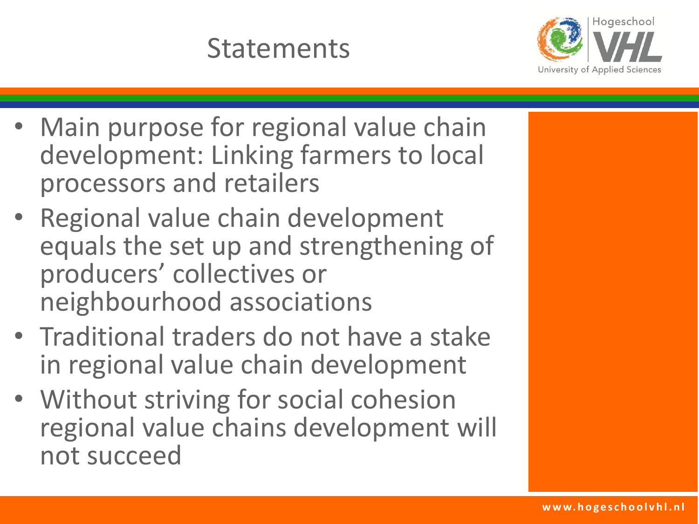# **Statements**



- Main purpose for regional value chain development: Linking farmers to local processors and retailers
- Regional value chain development equals the set up and strengthening of producers' collectives or neighbourhood associations
- Traditional traders do not have a stake in regional value chain development
- Without striving for social cohesion regional value chains development will not succeed